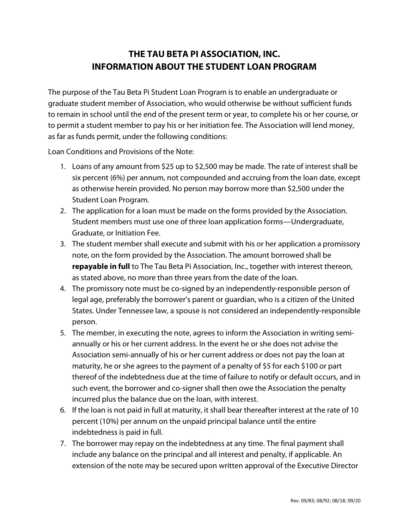## **THE TAU BETA PI ASSOCIATION, INC. INFORMATION ABOUT THE STUDENT LOAN PROGRAM**

The purpose of the Tau Beta Pi Student Loan Program is to enable an undergraduate or graduate student member of Association, who would otherwise be without sufficient funds to remain in school until the end of the present term or year, to complete his or her course, or to permit a student member to pay his or her initiation fee. The Association will lend money, as far as funds permit, under the following conditions:

Loan Conditions and Provisions of the Note:

- 1. Loans of any amount from \$25 up to \$2,500 may be made. The rate of interest shall be six percent (6%) per annum, not compounded and accruing from the loan date, except as otherwise herein provided. No person may borrow more than \$2,500 under the Student Loan Program.
- 2. The application for a loan must be made on the forms provided by the Association. Student members must use one of three loan application forms—Undergraduate, Graduate, or Initiation Fee.
- 3. The student member shall execute and submit with his or her application a promissory note, on the form provided by the Association. The amount borrowed shall be **repayable in full** to The Tau Beta Pi Association, Inc., together with interest thereon, as stated above, no more than three years from the date of the loan.
- 4. The promissory note must be co-signed by an independently-responsible person of legal age, preferably the borrower's parent or guardian, who is a citizen of the United States. Under Tennessee law, a spouse is not considered an independently-responsible person.
- 5. The member, in executing the note, agrees to inform the Association in writing semiannually or his or her current address. In the event he or she does not advise the Association semi-annually of his or her current address or does not pay the loan at maturity, he or she agrees to the payment of a penalty of \$5 for each \$100 or part thereof of the indebtedness due at the time of failure to notify or default occurs, and in such event, the borrower and co-signer shall then owe the Association the penalty incurred plus the balance due on the loan, with interest.
- 6. If the loan is not paid in full at maturity, it shall bear thereafter interest at the rate of 10 percent (10%) per annum on the unpaid principal balance until the entire indebtedness is paid in full.
- 7. The borrower may repay on the indebtedness at any time. The final payment shall include any balance on the principal and all interest and penalty, if applicable. An extension of the note may be secured upon written approval of the Executive Director